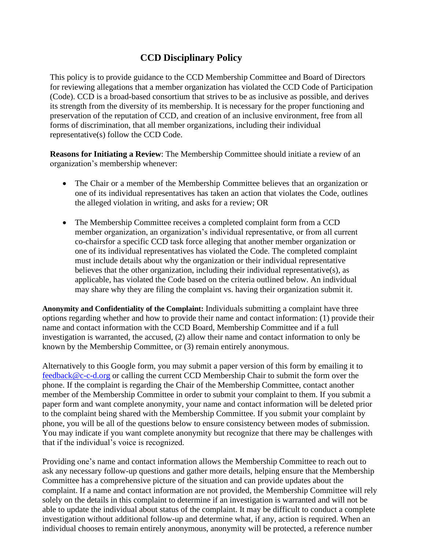## **CCD Disciplinary Policy**

This policy is to provide guidance to the CCD Membership Committee and Board of Directors for reviewing allegations that a member organization has violated the CCD Code of Participation (Code). CCD is a broad-based consortium that strives to be as inclusive as possible, and derives its strength from the diversity of its membership. It is necessary for the proper functioning and preservation of the reputation of CCD, and creation of an inclusive environment, free from all forms of discrimination, that all member organizations, including their individual representative(s) follow the CCD Code.

**Reasons for Initiating a Review**: The Membership Committee should initiate a review of an organization's membership whenever:

- The Chair or a member of the Membership Committee believes that an organization or one of its individual representatives has taken an action that violates the Code, outlines the alleged violation in writing, and asks for a review; OR
- The Membership Committee receives a completed complaint form from a CCD member organization, an organization's individual representative, or from all current co-chairsfor a specific CCD task force alleging that another member organization or one of its individual representatives has violated the Code. The completed complaint must include details about why the organization or their individual representative believes that the other organization, including their individual representative(s), as applicable, has violated the Code based on the criteria outlined below. An individual may share why they are filing the complaint vs. having their organization submit it.

**Anonymity and Confidentiality of the Complaint:** Individuals submitting a complaint have three options regarding whether and how to provide their name and contact information: (1) provide their name and contact information with the CCD Board, Membership Committee and if a full investigation is warranted, the accused, (2) allow their name and contact information to only be known by the Membership Committee, or (3) remain entirely anonymous.

Alternatively to this Google form, you may submit a paper version of this form by emailing it to [feedback@c-c-d.org](mailto:feedback@c-c-d.org) or calling the current CCD Membership Chair to submit the form over the phone. If the complaint is regarding the Chair of the Membership Committee, contact another member of the Membership Committee in order to submit your complaint to them. If you submit a paper form and want complete anonymity, your name and contact information will be deleted prior to the complaint being shared with the Membership Committee. If you submit your complaint by phone, you will be all of the questions below to ensure consistency between modes of submission. You may indicate if you want complete anonymity but recognize that there may be challenges with that if the individual's voice is recognized.

Providing one's name and contact information allows the Membership Committee to reach out to ask any necessary follow-up questions and gather more details, helping ensure that the Membership Committee has a comprehensive picture of the situation and can provide updates about the complaint. If a name and contact information are not provided, the Membership Committee will rely solely on the details in this complaint to determine if an investigation is warranted and will not be able to update the individual about status of the complaint. It may be difficult to conduct a complete investigation without additional follow-up and determine what, if any, action is required. When an individual chooses to remain entirely anonymous, anonymity will be protected, a reference number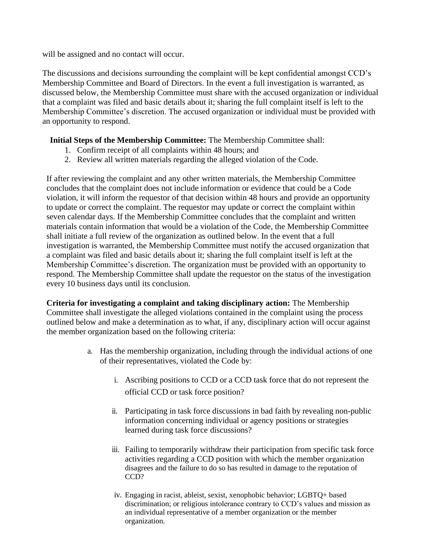will be assigned and no contact will occur.

The discussions and decisions surrounding the complaint will be kept confidential amongst CCD's Membership Committee and Board of Directors. In the event a full investigation is warranted, as discussed below, the Membership Committee must share with the accused organization or individual that a complaint was filed and basic details about it; sharing the full complaint itself is left to the Membership Committee's discretion. The accused organization or individual must be provided with an opportunity to respond.

## **Initial Steps of the Membership Committee:** The Membership Committee shall:

- 1. Confirm receipt of all complaints within 48 hours; and
- 2. Review all written materials regarding the alleged violation of the Code.

If after reviewing the complaint and any other written materials, the Membership Committee concludes that the complaint does not include information or evidence that could be a Code violation, it will inform the requestor of that decision within 48 hours and provide an opportunity to update or correct the complaint. The requestor may update or correct the complaint within seven calendar days. If the Membership Committee concludes that the complaint and written materials contain information that would be a violation of the Code, the Membership Committee shall initiate a full review of the organization as outlined below. In the event that a full investigation is warranted, the Membership Committee must notify the accused organization that a complaint was filed and basic details about it; sharing the full complaint itself is left at the Membership Committee's discretion. The organization must be provided with an opportunity to respond. The Membership Committee shall update the requestor on the status of the investigation every 10 business days until its conclusion.

**Criteria for investigating a complaint and taking disciplinary action:** The Membership Committee shall investigate the alleged violations contained in the complaint using the process outlined below and make a determination as to what, if any, disciplinary action will occur against the member organization based on the following criteria:

- a. Has the membership organization, including through the individual actions of one of their representatives, violated the Code by:
	- i. Ascribing positions to CCD or a CCD task force that do not represent the official CCD or task force position?
	- ii. Participating in task force discussions in bad faith by revealing non-public information concerning individual or agency positions or strategies learned during task force discussions?
	- iii. Failing to temporarily withdraw their participation from specific task force activities regarding a CCD position with which the member organization disagrees and the failure to do so has resulted in damage to the reputation of CCD?
	- iv. Engaging in racist, ableist, sexist, xenophobic behavior; LGBTQ+ based discrimination; or religious intolerance contrary to CCD's values and mission as an individual representative of a member organization or the member organization.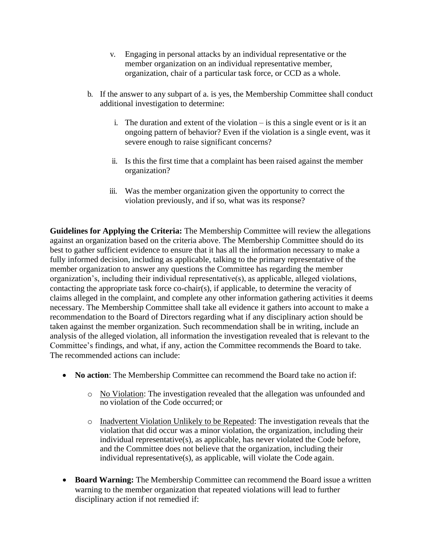- v. Engaging in personal attacks by an individual representative or the member organization on an individual representative member, organization, chair of a particular task force, or CCD as a whole.
- b. If the answer to any subpart of a. is yes, the Membership Committee shall conduct additional investigation to determine:
	- i. The duration and extent of the violation is this a single event or is it an ongoing pattern of behavior? Even if the violation is a single event, was it severe enough to raise significant concerns?
	- ii. Is this the first time that a complaint has been raised against the member organization?
	- iii. Was the member organization given the opportunity to correct the violation previously, and if so, what was its response?

**Guidelines for Applying the Criteria:** The Membership Committee will review the allegations against an organization based on the criteria above. The Membership Committee should do its best to gather sufficient evidence to ensure that it has all the information necessary to make a fully informed decision, including as applicable, talking to the primary representative of the member organization to answer any questions the Committee has regarding the member organization's, including their individual representative(s), as applicable, alleged violations, contacting the appropriate task force co-chair(s), if applicable, to determine the veracity of claims alleged in the complaint, and complete any other information gathering activities it deems necessary. The Membership Committee shall take all evidence it gathers into account to make a recommendation to the Board of Directors regarding what if any disciplinary action should be taken against the member organization. Such recommendation shall be in writing, include an analysis of the alleged violation, all information the investigation revealed that is relevant to the Committee's findings, and what, if any, action the Committee recommends the Board to take. The recommended actions can include:

- **No action**: The Membership Committee can recommend the Board take no action if:
	- o No Violation: The investigation revealed that the allegation was unfounded and no violation of the Code occurred; or
	- o Inadvertent Violation Unlikely to be Repeated: The investigation reveals that the violation that did occur was a minor violation, the organization, including their individual representative(s), as applicable, has never violated the Code before, and the Committee does not believe that the organization, including their individual representative(s), as applicable, will violate the Code again.
- **Board Warning:** The Membership Committee can recommend the Board issue a written warning to the member organization that repeated violations will lead to further disciplinary action if not remedied if: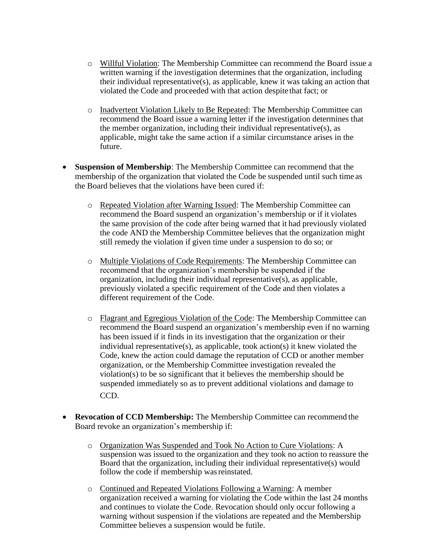- o Willful Violation: The Membership Committee can recommend the Board issue a written warning if the investigation determines that the organization, including their individual representative(s), as applicable, knew it was taking an action that violated the Code and proceeded with that action despite that fact; or
- o Inadvertent Violation Likely to Be Repeated: The Membership Committee can recommend the Board issue a warning letter if the investigation determines that the member organization, including their individual representative(s), as applicable, might take the same action if a similar circumstance arises in the future.
- **Suspension of Membership:** The Membership Committee can recommend that the membership of the organization that violated the Code be suspended until such time as the Board believes that the violations have been cured if:
	- o Repeated Violation after Warning Issued: The Membership Committee can recommend the Board suspend an organization's membership or if it violates the same provision of the code after being warned that it had previously violated the code AND the Membership Committee believes that the organization might still remedy the violation if given time under a suspension to do so; or
	- o Multiple Violations of Code Requirements: The Membership Committee can recommend that the organization's membership be suspended if the organization, including their individual representative(s), as applicable, previously violated a specific requirement of the Code and then violates a different requirement of the Code.
	- o Flagrant and Egregious Violation of the Code: The Membership Committee can recommend the Board suspend an organization's membership even if no warning has been issued if it finds in its investigation that the organization or their individual representative(s), as applicable, took action(s) it knew violated the Code, knew the action could damage the reputation of CCD or another member organization, or the Membership Committee investigation revealed the violation(s) to be so significant that it believes the membership should be suspended immediately so as to prevent additional violations and damage to CCD.
- **Revocation of CCD Membership:** The Membership Committee can recommend the Board revoke an organization's membership if:
	- o Organization Was Suspended and Took No Action to Cure Violations: A suspension was issued to the organization and they took no action to reassure the Board that the organization, including their individual representative(s) would follow the code if membership was reinstated.
	- o Continued and Repeated Violations Following a Warning: A member organization received a warning for violating the Code within the last 24 months and continues to violate the Code. Revocation should only occur following a warning without suspension if the violations are repeated and the Membership Committee believes a suspension would be futile.